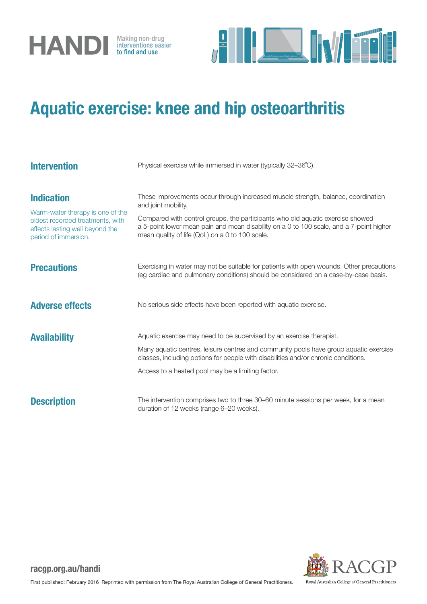



## Aquatic exercise: knee and hip osteoarthritis

| <b>Intervention</b>                                                                                                                                  | Physical exercise while immersed in water (typically 32-36°C).                                                                                                                                                                                                                                                                           |
|------------------------------------------------------------------------------------------------------------------------------------------------------|------------------------------------------------------------------------------------------------------------------------------------------------------------------------------------------------------------------------------------------------------------------------------------------------------------------------------------------|
| <b>Indication</b><br>Warm-water therapy is one of the<br>oldest recorded treatments, with<br>effects lasting well beyond the<br>period of immersion. | These improvements occur through increased muscle strength, balance, coordination<br>and joint mobility.<br>Compared with control groups, the participants who did aquatic exercise showed<br>a 5-point lower mean pain and mean disability on a 0 to 100 scale, and a 7-point higher<br>mean quality of life (QoL) on a 0 to 100 scale. |
| <b>Precautions</b>                                                                                                                                   | Exercising in water may not be suitable for patients with open wounds. Other precautions<br>(eg cardiac and pulmonary conditions) should be considered on a case-by-case basis.                                                                                                                                                          |
| <b>Adverse effects</b>                                                                                                                               | No serious side effects have been reported with aquatic exercise.                                                                                                                                                                                                                                                                        |
| <b>Availability</b>                                                                                                                                  | Aquatic exercise may need to be supervised by an exercise therapist.<br>Many aquatic centres, leisure centres and community pools have group aquatic exercise<br>classes, including options for people with disabilities and/or chronic conditions.<br>Access to a heated pool may be a limiting factor.                                 |
| <b>Description</b>                                                                                                                                   | The intervention comprises two to three 30–60 minute sessions per week, for a mean<br>duration of 12 weeks (range 6-20 weeks).                                                                                                                                                                                                           |



racgp.org.au/handi